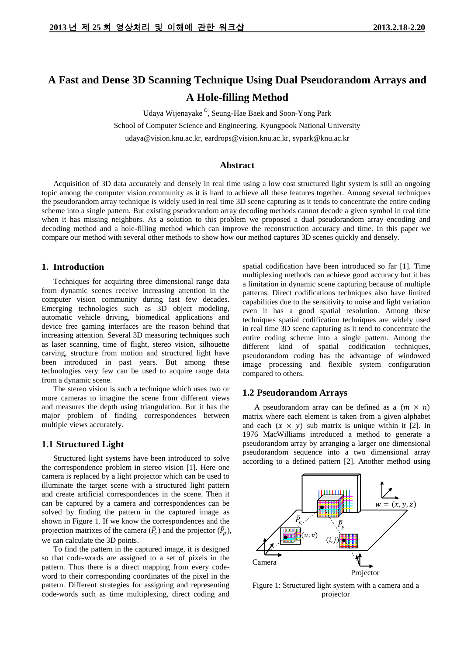# **A Fast and Dense 3D Scanning Technique Using Dual Pseudorandom Arrays and A Hole-filling Method**

Udaya Wijenayake<sup>O</sup>, Seung-Hae Baek and Soon-Yong Park

School of Computer Science and Engineering, Kyungpook National University

udaya@vision.knu.ac.kr, eardrops@vision.knu.ac.kr, sypark@knu.ac.kr

## **Abstract**

Acquisition of 3D data accurately and densely in real time using a low cost structured light system is still an ongoing topic among the computer vision community as it is hard to achieve all these features together. Among several techniques the pseudorandom array technique is widely used in real time 3D scene capturing as it tends to concentrate the entire coding scheme into a single pattern. But existing pseudorandom array decoding methods cannot decode a given symbol in real time when it has missing neighbors. As a solution to this problem we proposed a dual pseudorandom array encoding and decoding method and a hole-filling method which can improve the reconstruction accuracy and time. In this paper we compare our method with several other methods to show how our method captures 3D scenes quickly and densely.

## **1. Introduction**

Techniques for acquiring three dimensional range data from dynamic scenes receive increasing attention in the computer vision community during fast few decades. Emerging technologies such as 3D object modeling, automatic vehicle driving, biomedical applications and device free gaming interfaces are the reason behind that increasing attention. Several 3D measuring techniques such as laser scanning, time of flight, stereo vision, silhouette carving, structure from motion and structured light have been introduced in past years. But among these technologies very few can be used to acquire range data from a dynamic scene.

The stereo vision is such a technique which uses two or more cameras to imagine the scene from different views and measures the depth using triangulation. But it has the major problem of finding correspondences between multiple views accurately.

### **1.1 Structured Light**

Structured light systems have been introduced to solve the correspondence problem in stereo vision [1]. Here one camera is replaced by a light projector which can be used to illuminate the target scene with a structured light pattern and create artificial correspondences in the scene. Then it can be captured by a camera and correspondences can be solved by finding the pattern in the captured image as shown in [Figure 1.](#page-0-0) If we know the correspondences and the projection matrixes of the camera  $(\bar{P}_c)$  and the projector  $(\bar{P}_p)$ , we can calculate the 3D points.

To find the pattern in the captured image, it is designed so that code-words are assigned to a set of pixels in the pattern. Thus there is a direct mapping from every codeword to their corresponding coordinates of the pixel in the pattern. Different strategies for assigning and representing code-words such as time multiplexing, direct coding and

spatial codification have been introduced so far [1]. Time multiplexing methods can achieve good accuracy but it has a limitation in dynamic scene capturing because of multiple patterns. Direct codifications techniques also have limited capabilities due to the sensitivity to noise and light variation even it has a good spatial resolution. Among these techniques spatial codification techniques are widely used in real time 3D scene capturing as it tend to concentrate the entire coding scheme into a single pattern. Among the different kind of spatial codification techniques, pseudorandom coding has the advantage of windowed image processing and flexible system configuration compared to others.

#### **1.2 Pseudorandom Arrays**

A pseudorandom array can be defined as a  $(m \times n)$ matrix where each element is taken from a given alphabet and each  $(x \times y)$  sub matrix is unique within it [2]. In 1976 MacWilliams introduced a method to generate a pseudorandom array by arranging a larger one dimensional pseudorandom sequence into a two dimensional array according to a defined pattern [2]. Another method using



<span id="page-0-0"></span>Figure 1: Structured light system with a camera and a projector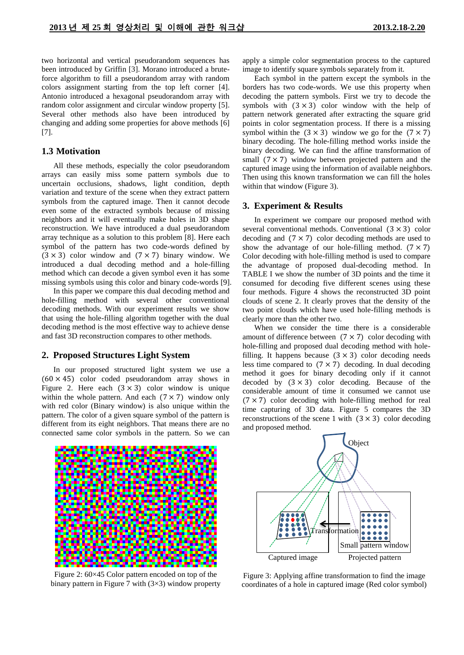two horizontal and vertical pseudorandom sequences has been introduced by Griffin [3]. Morano introduced a bruteforce algorithm to fill a pseudorandom array with random colors assignment starting from the top left corner [4]. Antonio introduced a hexagonal pseudorandom array with random color assignment and circular window property [5]. Several other methods also have been introduced by changing and adding some properties for above methods [6] [7].

## **1.3 Motivation**

All these methods, especially the color pseudorandom arrays can easily miss some pattern symbols due to uncertain occlusions, shadows, light condition, depth variation and texture of the scene when they extract pattern symbols from the captured image. Then it cannot decode even some of the extracted symbols because of missing neighbors and it will eventually make holes in 3D shape reconstruction. We have introduced a dual pseudorandom array technique as a solution to this problem [8]. Here each symbol of the pattern has two code-words defined by  $(3 \times 3)$  color window and  $(7 \times 7)$  binary window. We introduced a dual decoding method and a hole-filling method which can decode a given symbol even it has some missing symbols using this color and binary code-words [9].

In this paper we compare this dual decoding method and hole-filling method with several other conventional decoding methods. With our experiment results we show that using the hole-filling algorithm together with the dual decoding method is the most effective way to achieve dense and fast 3D reconstruction compares to other methods.

#### **2. Proposed Structures Light System**

In our proposed structured light system we use a  $(60 \times 45)$  color coded pseudorandom array shows in [Figure 2.](#page-1-0) Here each  $(3 \times 3)$  color window is unique within the whole pattern. And each  $(7 \times 7)$  window only with red color (Binary window) is also unique within the pattern. The color of a given square symbol of the pattern is different from its eight neighbors. That means there are no connected same color symbols in the pattern. So we can

<span id="page-1-0"></span>

Figure 2: 60×45 Color pattern encoded on top of the binary pattern in Figure 7 with  $(3\times3)$  window property

apply a simple color segmentation process to the captured image to identify square symbols separately from it.

Each symbol in the pattern except the symbols in the borders has two code-words. We use this property when decoding the pattern symbols. First we try to decode the symbols with  $(3 \times 3)$  color window with the help of pattern network generated after extracting the square grid points in color segmentation process. If there is a missing symbol within the  $(3 \times 3)$  window we go for the  $(7 \times 7)$ binary decoding. The hole-filling method works inside the binary decoding. We can find the affine transformation of small  $(7 \times 7)$  window between projected pattern and the captured image using the information of available neighbors. Then using this known transformation we can fill the holes within that window [\(Figure 3\)](#page-1-1).

#### **3. Experiment & Results**

In experiment we compare our proposed method with several conventional methods. Conventional  $(3 \times 3)$  color decoding and  $(7 \times 7)$  color decoding methods are used to show the advantage of our hole-filling method.  $(7 \times 7)$ Color decoding with hole-filling method is used to compare the advantage of proposed dual-decoding method. In [TABLE I](#page-2-0) we show the number of 3D points and the time it consumed for decoding five different scenes using these four methods. [Figure 4](#page-2-1) shows the reconstructed 3D point clouds of scene 2. It clearly proves that the density of the two point clouds which have used hole-filling methods is clearly more than the other two.

When we consider the time there is a considerable amount of difference between  $(7 \times 7)$  color decoding with hole-filling and proposed dual decoding method with holefilling. It happens because  $(3 \times 3)$  color decoding needs less time compared to  $(7 \times 7)$  decoding. In dual decoding method it goes for binary decoding only if it cannot decoded by  $(3 \times 3)$  color decoding. Because of the considerable amount of time it consumed we cannot use  $(7 \times 7)$  color decoding with hole-filling method for real time capturing of 3D data. [Figure 5](#page-2-2) compares the 3D reconstructions of the scene 1 with  $(3 \times 3)$  color decoding and proposed method.



<span id="page-1-1"></span>Figure 3: Applying affine transformation to find the image coordinates of a hole in captured image (Red color symbol)